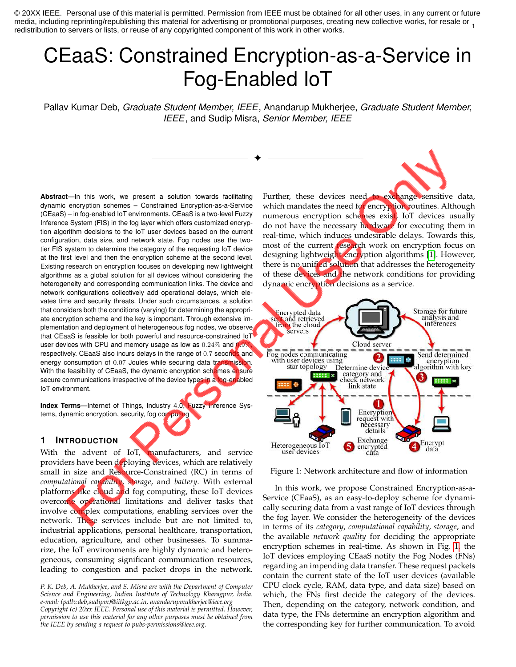media, including reprinting/republishing this material for advertising or promotional purposes, creating new collective works, for resale or  $\frac{1}{1}$ © 20XX IEEE. Personal use of this material is permitted. Permission from IEEE must be obtained for all other uses, in any current or future redistribution to servers or lists, or reuse of any copyrighted component of this work in other works.

# CEaaS: Constrained Encryption-as-a-Service in Fog-Enabled IoT

Pallav Kumar Deb, *Graduate Student Member, IEEE*, Anandarup Mukherjee, *Graduate Student Member, IEEE*, and Sudip Misra, *Senior Member, IEEE*

✦

**Abstract**—In this work, we present a solution towards facilitating dynamic encryption schemes – Constrained Encryption-as-a-Service (CEaaS) – in fog-enabled IoT environments. CEaaS is a two-level Fuzzy Inference System (FIS) in the fog layer which offers customized encryption algorithm decisions to the IoT user devices based on the current configuration, data size, and network state. Fog nodes use the twotier FIS system to determine the category of the requesting IoT device at the first level and then the encryption scheme at the second level. Existing research on encryption focuses on developing new lightweight algorithms as a global solution for all devices without considering the heterogeneity and corresponding communication links. The device and network configurations collectively add operational delays, which elevates time and security threats. Under such circumstances, a solution that considers both the conditions (varying) for determining the appropriate encryption scheme and the key is important. Through extensive implementation and deployment of heterogeneous fog nodes, we observe that CEaaS is feasible for both powerful and resource-constrained IoT user devices with CPU and memory usage as low as  $0.24\%$  and 0. respectively. CEaaS also incurs delays in the range of 0.7 seconds and energy consumption of 0.07 Joules while securing data transmission. With the feasibility of CEaaS, the dynamic encryption schemes ensure secure communications irrespective of the device types in a fog-enabled IoT environment.

**Index Terms**—Internet of Things, Industry 4.0, Fuzzy Inference Systems, dynamic encryption, security, fog computing

# **1 INTRODUCTION**

With the advent of IoT, manufacturers, and service providers have been deploying devices, which are relatively small in size and Resource-Constrained (RC) in terms of *computational capability*, *storage*, and *battery*. With external platforms like cloud and fog computing, these IoT devices overcome operational limitations and deliver tasks that involve complex computations, enabling services over the network. These services include but are not limited to, industrial applications, personal healthcare, transportation, education, agriculture, and other businesses. To summarize, the IoT environments are highly dynamic and heterogeneous, consuming significant communication resources, leading to congestion and packet drops in the network.

*P. K. Deb, A. Mukherjee, and S. Misra are with the Department of Computer Science and Engineering, Indian Institute of Technology Kharagpur, India. e-mail: (pallv.deb,sudipm)@iitkgp.ac.in, anandarupmukherjee@ieee.org Copyright (c) 20xx IEEE. Personal use of this material is permitted. However, permission to use this material for any other purposes must be obtained from the IEEE by sending a request to pubs-permissions@ieee.org.*

Further, these devices need to exchange sensitive data, which mandates the need for encryption routines. Although numerous encryption schemes exist, IoT devices usually do not have the necessary hardware for executing them in real-time, which induces undesirable delays. Towards this, most of the current research work on encryption focus on designing lightweight encryption algorithms [\[1\]](#page-7-0). However, there is no unified solution that addresses the heterogeneity of these devices and the network conditions for providing dynamic encryption decisions as a service.

<span id="page-0-0"></span>

Figure 1: Network architecture and flow of information

In this work, we propose Constrained Encryption-as-a-Service (CEaaS), as an easy-to-deploy scheme for dynamically securing data from a vast range of IoT devices through the fog layer. We consider the heterogeneity of the devices in terms of its *category*, *computational capability*, *storage*, and the available *network quality* for deciding the appropriate encryption schemes in real-time. As shown in Fig. [1,](#page-0-0) the IoT devices employing CEaaS notify the Fog Nodes (FNs) regarding an impending data transfer. These request packets contain the current state of the IoT user devices (available CPU clock cycle, RAM, data type, and data size) based on which, the FNs first decide the category of the devices. Then, depending on the category, network condition, and data type, the FNs determine an encryption algorithm and the corresponding key for further communication. To avoid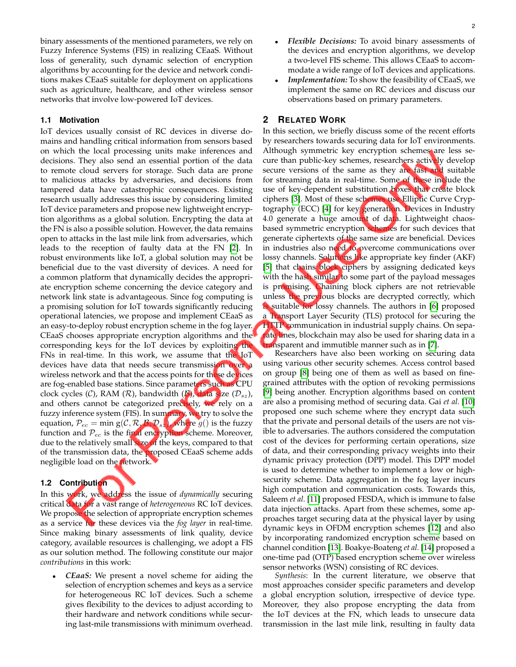binary assessments of the mentioned parameters, we rely on Fuzzy Inference Systems (FIS) in realizing CEaaS. Without loss of generality, such dynamic selection of encryption algorithms by accounting for the device and network conditions makes CEaaS suitable for deployment on applications such as agriculture, healthcare, and other wireless sensor networks that involve low-powered IoT devices.

# **1.1 Motivation**

IoT devices usually consist of RC devices in diverse domains and handling critical information from sensors based on which the local processing units make inferences and decisions. They also send an essential portion of the data to remote cloud servers for storage. Such data are prone to malicious attacks by adversaries, and decisions from tampered data have catastrophic consequences. Existing research usually addresses this issue by considering limited IoT device parameters and propose new lightweight encryption algorithms as a global solution. Encrypting the data at the FN is also a possible solution. However, the data remains open to attacks in the last mile link from adversaries, which leads to the reception of faulty data at the FN [\[2\]](#page-7-1). In robust environments like IoT, a global solution may not be beneficial due to the vast diversity of devices. A need for a common platform that dynamically decides the appropriate encryption scheme concerning the device category and network link state is advantageous. Since fog computing is a promising solution for IoT towards significantly reducing operational latencies, we propose and implement CEaaS as an easy-to-deploy robust encryption scheme in the fog layer. CEaaS chooses appropriate encryption algorithms and the corresponding keys for the IoT devices by exploiting the FNs in real-time. In this work, we assume that the IoT devices have data that needs secure transmission over a wireless network and that the access points for these devices are fog-enabled base stations. Since parameters such as CPU clock cycles (C), RAM (R), bandwidth (B), data size ( $\mathcal{D}_{sz}$ ), and others cannot be categorized precisely, we rely on a fuzzy inference system (FIS). In summary, we try to solve the equation,  $P_{ec} = \min g(C, R, B, D_{sz})$ , where  $g()$  is the fuzzy function and  $P_{ec}$  is the final encryption scheme. Moreover, due to the relatively small size of the keys, compared to that of the transmission data, the proposed CEaaS scheme adds negligible load on the network.

## **1.2 Contribution**

In this work, we address the issue of *dynamically* securing critical data for a vast range of *heterogeneous* RC IoT devices. We propose the selection of appropriate encryption schemes as a service for these devices via the *fog layer* in real-time. Since making binary assessments of link quality, device category, available resources is challenging, we adopt a FIS as our solution method. The following constitute our major *contributions* in this work:

• *CEaaS:* We present a novel scheme for aiding the selection of encryption schemes and keys as a service for heterogeneous RC IoT devices. Such a scheme gives flexibility to the devices to adjust according to their hardware and network conditions while securing last-mile transmissions with minimum overhead.

- *Flexible Decisions:* To avoid binary assessments of the devices and encryption algorithms, we develop a two-level FIS scheme. This allows CEaaS to accommodate a wide range of IoT devices and applications.
- *Implementation:* To show the feasibility of CEaaS, we implement the same on RC devices and discuss our observations based on primary parameters.

# **2 RELATED WORK**

In this section, we briefly discuss some of the recent efforts by researchers towards securing data for IoT environments. Although symmetric key encryption schemes are less secure than public-key schemes, researchers actively develop secure versions of the same as they are fast and suitable for streaming data in real-time. Some of these include the use of key-dependent substitution boxes that create block ciphers [\[3\]](#page-7-2). Most of these schemes use Elliptic Curve Cryp-tography (ECC) [\[4\]](#page-7-3) for key generation. Devices in Industry 4.0 generate a huge amount of data. Lightweight chaosbased symmetric encryption schemes for such devices that generate ciphertexts of the same size are beneficial. Devices in industries also need to overcome communications over lossy channels. Solutions like appropriate key finder (AKF) [\[5\]](#page-7-4) that chains block ciphers by assigning dedicated keys with the hash similar to some part of the payload messages is promising. Chaining block ciphers are not retrievable unless the previous blocks are decrypted correctly, which is suitable for lossy channels. The authors in [\[6\]](#page-7-5) proposed a Transport Layer Security (TLS) protocol for securing the HTTP communication in industrial supply chains. On separate lines, blockchain may also be used for sharing data in a transparent and immutible manner such as in [\[7\]](#page-7-6).

Researchers have also been working on securing data using various other security schemes. Access control based on group [\[8\]](#page-7-7) being one of them as well as based on finegrained attributes with the option of revoking permissions [\[9\]](#page-7-8) being another. Encryption algorithms based on content are also a promising method of securing data. Gai *et al.* [\[10\]](#page-7-9) proposed one such scheme where they encrypt data such that the private and personal details of the users are not visible to adversaries. The authors considered the computation cost of the devices for performing certain operations, size of data, and their corresponding privacy weights into their dynamic privacy protection (DPP) model. This DPP model is used to determine whether to implement a low or highsecurity scheme. Data aggregation in the fog layer incurs high computation and communication costs. Towards this, Saleem *et al.* [\[11\]](#page-7-10) proposed FESDA, which is immune to false data injection attacks. Apart from these schemes, some approaches target securing data at the physical layer by using dynamic keys in OFDM encryption schemes [\[12\]](#page-7-11) and also by incorporating randomized encryption scheme based on channel condition [\[13\]](#page-7-12). Boakye-Boateng *et al.* [\[14\]](#page-7-13) proposed a one-time pad (OTP) based encryption scheme over wireless sensor networks (WSN) consisting of RC devices.

*Synthesis*: In the current literature, we observe that most approaches consider specific parameters and develop a global encryption solution, irrespective of device type. Moreover, they also propose encrypting the data from the IoT devices at the FN, which leads to unsecure data transmission in the last mile link, resulting in faulty data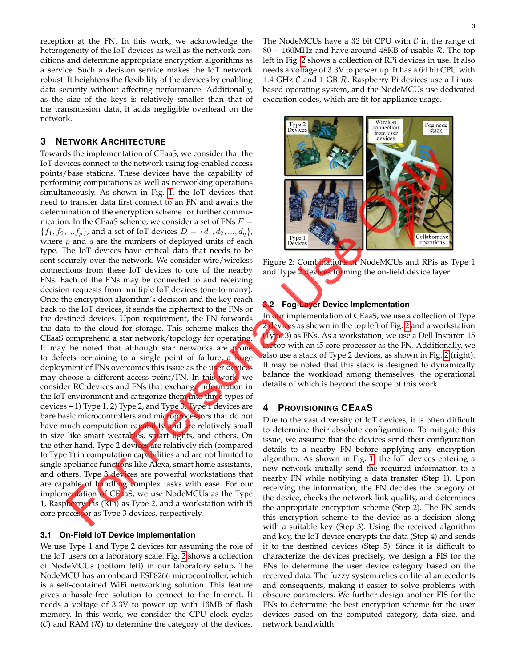reception at the FN. In this work, we acknowledge the heterogeneity of the IoT devices as well as the network conditions and determine appropriate encryption algorithms as a service. Such a decision service makes the IoT network robust. It heightens the flexibility of the devices by enabling data security without affecting performance. Additionally, as the size of the keys is relatively smaller than that of the transmission data, it adds negligible overhead on the network.

## **3 NETWORK ARCHITECTURE**

Towards the implementation of CEaaS, we consider that the IoT devices connect to the network using fog-enabled access points/base stations. These devices have the capability of performing computations as well as networking operations simultaneously. As shown in Fig. [1,](#page-0-0) the IoT devices that need to transfer data first connect to an FN and awaits the determination of the encryption scheme for further communication. In the CEaaS scheme, we consider a set of FNs  $F =$  ${f_1, f_2, ... f_p}$ , and a set of IoT devices  $D = \{d_1, d_2, ..., d_q\}$ , where  $p$  and  $q$  are the numbers of deployed units of each type. The IoT devices have critical data that needs to be sent securely over the network. We consider wire/wireless connections from these IoT devices to one of the nearby FNs. Each of the FNs may be connected to and receiving decision requests from multiple IoT devices (one-to-many). Once the encryption algorithm's decision and the key reach back to the IoT devices, it sends the ciphertext to the FNs or the destined devices. Upon requirement, the FN forwards the data to the cloud for storage. This scheme makes the CEaaS comprehend a star network/topology for operating. It may be noted that although star networks are prone to defects pertaining to a single point of failure, a huge deployment of FNs overcomes this issue as the user devices may choose a different access point/FN. In this work, we consider RC devices and FNs that exchange information in the IoT environment and categorize them into three types of devices – 1) Type 1, 2) Type 2, and Type 3. Type 1 devices are bare basic microcontrollers and microprocessors that do not have much computation capability and are relatively small in size like smart wearables, smart lights, and others. On the other hand, Type 2 devices are relatively rich (compared to Type 1) in computation capabilities and are not limited to single appliance functions like Alexa, smart home assistants, and others. Type 3 devices are powerful workstations that are capable of handling complex tasks with ease. For our implementation of CEaaS, we use NodeMCUs as the Type 1, Raspberry Pis (RPi) as Type 2, and a workstation with i5 core processor as Type 3 devices, respectively.

## **3.1 On-Field IoT Device Implementation**

We use Type 1 and Type 2 devices for assuming the role of the IoT users on a laboratory scale. Fig. [2](#page-2-0) shows a collection of NodeMCUs (bottom left) in our laboratory setup. The NodeMCU has an onboard ESP8266 microcontroller, which is a self-contained WiFi networking solution. This feature gives a hassle-free solution to connect to the Internet. It needs a voltage of 3.3V to power up with 16MB of flash memory. In this work, we consider the CPU clock cycles  $(C)$  and RAM  $(R)$  to determine the category of the devices.

The NodeMCUs have a 32 bit CPU with  $C$  in the range of 80  $-$  160MHz and have around 48KB of usable  $\mathcal{R}$ . The top left in Fig. [2](#page-2-0) shows a collection of RPi devices in use. It also needs a voltage of 3.3V to power up. It has a 64 bit CPU with 1.4 GHz  $\mathcal C$  and 1 GB  $\mathcal R$ . Raspberry Pi devices use a Linuxbased operating system, and the NodeMCUs use dedicated execution codes, which are fit for appliance usage.

<span id="page-2-0"></span>

Figure 2: Combinations of NodeMCUs and RPis as Type 1 and Type 2 devices forming the on-field device layer

# **3.2 Fog-Layer Device Implementation**

In our implementation of CEaaS, we use a collection of Type 2 devices as shown in the top left of Fig. [2](#page-2-0) and a workstation (Type 3) as FNs. As a workstation, we use a Dell Inspiron 15 laptop with an i5 core processor as the FN. Additionally, we also use a stack of Type 2 devices, as shown in Fig. [2](#page-2-0) (right). It may be noted that this stack is designed to dynamically balance the workload among themselves, the operational details of which is beyond the scope of this work.

## **4 PROVISIONING CEAAS**

Due to the vast diversity of IoT devices, it is often difficult to determine their absolute configuration. To mitigate this issue, we assume that the devices send their configuration details to a nearby FN before applying any encryption algorithm. As shown in Fig. [1,](#page-0-0) the IoT devices entering a new network initially send the required information to a nearby FN while notifying a data transfer (Step 1). Upon receiving the information, the FN decides the category of the device, checks the network link quality, and determines the appropriate encryption scheme (Step 2). The FN sends this encryption scheme to the device as a decision along with a suitable key (Step 3). Using the received algorithm and key, the IoT device encrypts the data (Step 4) and sends it to the destined devices (Step 5). Since it is difficult to characterize the devices precisely, we design a FIS for the FNs to determine the user device category based on the received data. The fuzzy system relies on literal antecedents and consequents, making it easier to solve problems with obscure parameters. We further design another FIS for the FNs to determine the best encryption scheme for the user devices based on the computed category, data size, and network bandwidth.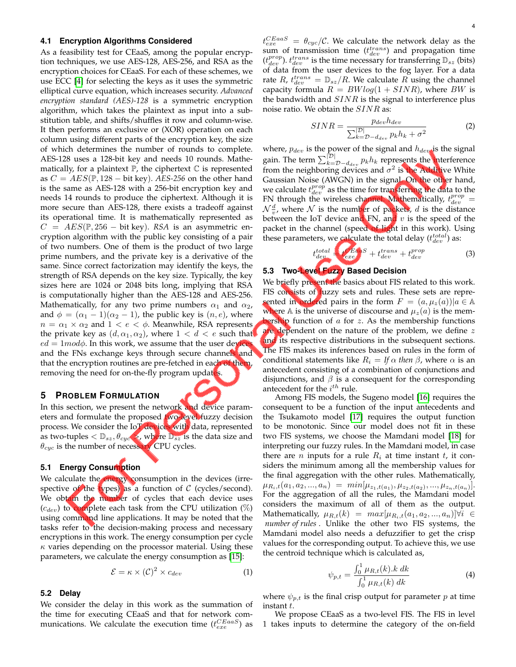#### <span id="page-3-0"></span>**4.1 Encryption Algorithms Considered**

As a feasibility test for CEaaS, among the popular encryption techniques, we use AES-128, AES-256, and RSA as the encryption choices for CEaaS. For each of these schemes, we use ECC [\[4\]](#page-7-3) for selecting the keys as it uses the symmetric elliptical curve equation, which increases security. *Advanced encryption standard (AES)-128* is a symmetric encryption algorithm, which takes the plaintext as input into a substitution table, and shifts/shuffles it row and column-wise. It then performs an exclusive or (XOR) operation on each column using different parts of the encryption key, the size of which determines the number of rounds to complete. AES-128 uses a 128-bit key and needs 10 rounds. Mathematically, for a plaintext  $\mathbb P$ , the ciphertext  $\mathbb C$  is represented as  $C = AES(\mathbb{P}, 128 - \text{bit key})$ . *AES-256* on the other hand is the same as AES-128 with a 256-bit encryption key and needs 14 rounds to produce the ciphertext. Although it is more secure than AES-128, there exists a tradeoff against its operational time. It is mathematically represented as  $C = AES(\mathbb{P}, 256 - \text{bit key})$ . *RSA* is an asymmetric encryption algorithm with the public key consisting of a pair of two numbers. One of them is the product of two large prime numbers, and the private key is a derivative of the same. Since correct factorization may identify the keys, the strength of RSA depends on the key size. Typically, the key sizes here are 1024 or 2048 bits long, implying that RSA is computationally higher than the AES-128 and AES-256. Mathematically, for any two prime numbers  $\alpha_1$  and  $\alpha_2$ , and  $\phi = (\alpha_1 - 1)(\alpha_2 - 1)$ , the public key is  $(n, e)$ , where  $n = \alpha_1 \times \alpha_2$  and  $1 < e < \phi$ . Meanwhile, RSA represents the private key as  $(d, \alpha_1, \alpha_2)$ , where  $1 < d < e$  such that  $ed = 1 \mod \phi$ . In this work, we assume that the user device and the FNs exchange keys through secure channels and that the encryption routines are pre-fetched in each of them, removing the need for on-the-fly program updates.

## **5 PROBLEM FORMULATION**

In this section, we present the network and device parameters and formulate the proposed two-level fuzzy decision process. We consider the IoT devices with data, represented as two-tuples  $\langle D_{sz}, \theta_{cyc} \rangle$ , where  $D_{sz}$  is the data size and  $\theta_{cyc}$  is the number of necessary CPU cycles.

## **5.1 Energy Consumption**

We calculate the energy consumption in the devices (irrespective of the types) as a function of  $C$  (cycles/second). We obtain the number of cycles that each device uses  $(c_{dev})$  to complete each task from the CPU utilization  $(\%)$ using command line applications. It may be noted that the tasks refer to the decision-making process and necessary encryptions in this work. The energy consumption per cycle  $\kappa$  varies depending on the processor material. Using these parameters, we calculate the energy consumption as [\[15\]](#page-7-14):

<span id="page-3-2"></span>
$$
\mathcal{E} = \kappa \times (\mathcal{C})^2 \times c_{dev} \tag{1}
$$

# **5.2 Delay**

We consider the delay in this work as the summation of the time for executing CEaaS and that for network communications. We calculate the execution time  $(t_{exe}^{CEaas})$  as

 $t_{exe}^{CEaaS}$  =  $\theta_{cyc}/{\cal C}.$  We calculate the network delay as the sum of transmission time  $(t_{dev}^{trans})$  and propagation time  $(t_{dev}^{prop})$ .  $t_{dev}^{trans}$  is the time necessary for transferring  $\mathbb{D}_{sz}$  (bits) of data from the user devices to the fog layer. For a data rate R,  $t_{dev}^{trans} = D_{sz}/R$ . We calculate R using the channel capacity formula  $R = BWlog(1 + SINR)$ , where BW is the bandwidth and  $SINR$  is the signal to interference plus noise ratio. We obtain the  $SINR$  as:

$$
SINR = \frac{p_{dev}h_{dev}}{\sum_{k=D-d_{dev}}^{\left|\mathcal{D}\right|} p_k h_k + \sigma^2}
$$
 (2)

where,  $p_{dev}$  is the power of the signal and  $h_{dev}$  is the signal gain. The term  $\sum_{k=D-d_{dev}}^{[\mathcal{D}]} p_k h_k$  represents the interference from the neighboring devices and  $\sigma^2$  is the Additive White Gaussian Noise (AWGN) in the signal. On the other hand, we calculate  $t_{dev}^{prop}$  as the time for transferring the data to the FN through the wireless channel. Mathematically,  $t_{dev}^{prop} =$  $\mathcal{N}\frac{d}{v}$ , where  $\mathcal N$  is the number of packets, d is the distance between the IoT device and FN, and  $v$  is the speed of the packet in the channel (speed of light in this work). Using these parameters, we calculate the total delay  $(t_{dev}^{total})$  as:

$$
_{dev}^{total} = t_{exe}^{Eaas} + t_{dev}^{trans} + t_{dev}^{prop}
$$
 (3)

# **5.3 Two-Level Fuzzy Based Decision**

<span id="page-3-1"></span>t

We briefly present the basics about FIS related to this work. FIS consists of fuzzy sets and rules. These sets are represented in ordered pairs in the form  $F = (a, \mu_z(a)) | a \in \mathbb{A}$ where A is the universe of discourse and  $\mu_z(a)$  is the membership function of  $a$  for  $z$ . As the membership functions are dependent on the nature of the problem, we define z and its respective distributions in the subsequent sections. The FIS makes its inferences based on rules in the form of conditional statements like  $R_i = If \alpha$  *then*  $\beta$ , where  $\alpha$  is an antecedent consisting of a combination of conjunctions and disjunctions, and  $\beta$  is a consequent for the corresponding antecedent for the  $i^{th}$  rule.

Among FIS models, the Sugeno model [\[16\]](#page-7-15) requires the consequent to be a function of the input antecedents and the Tsukamoto model [\[17\]](#page-7-16) requires the output function to be monotonic. Since our model does not fit in these two FIS systems, we choose the Mamdani model [\[18\]](#page-7-17) for interpreting our fuzzy rules. In the Mamdani model, in case there are *n* inputs for a rule  $R_i$  at time instant *t*, it considers the minimum among all the membership values for the final aggregation with the other rules. Mathematically,  $\mu_{R_i,t}(a_1,a_2,...,a_n) = min[\mu_{z_1,t(a_1)},\mu_{z_2,t(a_2)},...,\mu_{z_n,t(a_n)}].$ For the aggregation of all the rules, the Mamdani model considers the maximum of all of them as the output. Mathematically,  $\mu_{R,t}(k) = max[\mu_{R_i,t}(a_1, a_2, ..., a_n)] \forall i \in$ *number of rules* . Unlike the other two FIS systems, the Mamdani model also needs a defuzzifier to get the crisp values for the corresponding output. To achieve this, we use the centroid technique which is calculated as,

$$
\psi_{p,t} = \frac{\int_0^1 \mu_{R,t}(k) \cdot k \, dk}{\int_0^1 \mu_{R,t}(k) \, dk} \tag{4}
$$

where  $\psi_{p,t}$  is the final crisp output for parameter p at time instant t.

We propose CEaaS as a two-level FIS. The FIS in level 1 takes inputs to determine the category of the on-field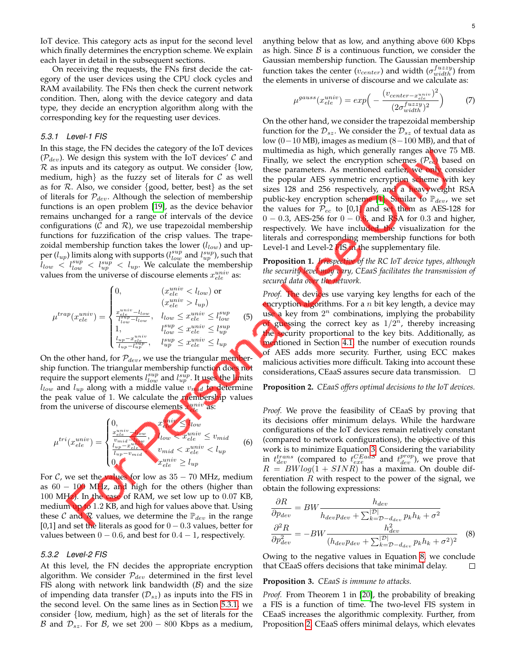IoT device. This category acts as input for the second level which finally determines the encryption scheme. We explain each layer in detail in the subsequent sections.

On receiving the requests, the FNs first decide the category of the user devices using the CPU clock cycles and RAM availability. The FNs then check the current network condition. Then, along with the device category and data type, they decide an encryption algorithm along with the corresponding key for the requesting user devices.

#### <span id="page-4-0"></span>*5.3.1 Level-1 FIS*

In this stage, the FN decides the category of the IoT devices  $(\mathcal{P}_{dev})$ . We design this system with the IoT devices' C and  $R$  as inputs and its category as output. We consider {low, medium, high as the fuzzy set of literals for  $\mathcal C$  as well as for  $R$ . Also, we consider {good, better, best} as the set of literals for  $\mathcal{P}_{dev}$ . Although the selection of membership functions is an open problem [\[19\]](#page-7-18), as the device behavior remains unchanged for a range of intervals of the device configurations ( $\mathcal C$  and  $\mathcal R$ ), we use trapezoidal membership functions for fuzzification of the crisp values. The trapezoidal membership function takes the lower  $(l_{low})$  and upper  $(l_{up})$  limits along with supports  $(l_{low}^{sup}$  and  $l_{up}^{sup}$ ), such that  $l_{low} < l_{low}^{sup} < l_{up}^{sup} < l_{up}$ . We calculate the membership values from the universe of discourse elements  $x_{ele}^{univ}$  as:

$$
\mu^{trap}(x_{ele}^{univ}) = \begin{cases}\n0, & (x_{ele}^{univ} < l_{low}) \text{ or} \\
(x_{ele}^{univ} > l_{up}) \\
\frac{x_{ele}^{univ} - l_{low}}{l_{low}^{up} - l_{low}}, & l_{low} \leq x_{ele}^{univ} \leq l_{low}^{sup} \\
1, & l_{low}^{sup} \leq x_{ele}^{univ} \leq l_{up}^{sup} \\
\frac{l_{up} - x_{ele}^{univ}}{l_{up} - l_{up}^{sup}}, & l_{up}^{sup} \leq x_{ele}^{univ} \leq l_{up}\n\end{cases}
$$
\n(5)

On the other hand, for  $P_{dev}$ , we use the triangular membership function. The triangular membership function does not require the support elements  $l_{low}^{sup}$  and  $l_{up}^{sup}$ . It uses the limits  $l_{low}$  and  $l_{up}$  along with a middle value  $v_{mid}$  to determine the peak value of 1. We calculate the **membership** values from the universe of discourse elements  $x_{ele}^{univ}$  as:

$$
\mu^{tri}(x_{ele}^{univ}) = \begin{cases}\n0, & x_{ele}^{univ} \leq l_{low} \\
\frac{x_{ele}^{univ}}{v_{mid}} & l_{low} < x_{ele}^{univ} \leq v_{mid} \\
\frac{l_{up} - x_{ele}^{univ}}{l_{up} - v_{mid}} & v_{mid} < x_{ele}^{univ} < l_{up} \\
0, & x_{ele}^{univ} \geq l_{up} < \frac{l_{up} - l_{up}^{univ}}{l_{up} - v_{mid}} < \frac{l_{up} - l_{up}^{univ}}{l_{up} - v_{up} - v_{up}}\n\end{cases} \tag{6}
$$

For  $C$ , we set the values for low as  $35 - 70$  MHz, medium as  $60 - 100$  MHz, and high for the others (higher than 100 MHz). In the case of RAM, we set low up to 0.07 KB, medium up to 1.2 KB, and high for values above that. Using these C and R values, we determine the  $\mathbb{P}_{dev}$  in the range [0,1] and set the literals as good for  $0 - 0.3$  values, better for values between  $0 - 0.6$ , and best for  $0.4 - 1$ , respectively.

## *5.3.2 Level-2 FIS*

At this level, the FN decides the appropriate encryption algorithm. We consider  $P_{dev}$  determined in the first level FIS along with network link bandwidth  $(B)$  and the size of impending data transfer  $(\mathcal{D}_{sz})$  as inputs into the FIS in the second level. On the same lines as in Section [5.3.1,](#page-4-0) we consider {low, medium, high} as the set of literals for the B and  $\mathcal{D}_{sz}$ . For B, we set 200 – 800 Kbps as a medium,

anything below that as low, and anything above 600 Kbps as high. Since  $\beta$  is a continuous function, we consider the Gaussian membership function. The Gaussian membership function takes the center ( $v_{center}$ ) and width ( $\sigma_{width}^{fuzzy}$ ) from the elements in universe of discourse and we calculate as:

$$
\mu^{gauss}(x_{ele}^{univ}) = exp\Big(-\frac{(v_{center-x_{ele}^{univ}})^2}{(2\sigma_{width}^{fuzzy})^2}\Big) \tag{7}
$$

On the other hand, we consider the trapezoidal membership function for the  $\mathcal{D}_{sz}$ . We consider the  $\mathcal{D}_{sz}$  of textual data as low (0−10 MB), images as medium (8–100 MB), and that of multimedia as high, which generally ranges above 75 MB. Finally, we select the encryption schemes ( $\mathcal{P}_{ec}$ ) based on these parameters. As mentioned earlier, we only consider the popular AES symmetric encryption scheme with key sizes 128 and 256 respectively, and a heavyweight RSA public-key encryption scheme [\[1\]](#page-7-0). Similar to  $\mathbb{P}_{dev}$ , we set the values for  $P_{ec}$  to [0,1] and set them as AES-128 for  $0 - 0.3$ , AES-256 for  $0 - 0.6$ , and RSA for 0.3 and higher, respectively. We have included the visualization for the literals and corresponding membership functions for both Level-1 and Level-2 FIS in the supplementary file.

<span id="page-4-3"></span>**Proposition 1.** *Irrespective of the RC IoT device types, although the security level may vary, CEaaS facilitates the transmission of secured data over the network.*

Proof. The devices use varying key lengths for each of the encryption algorithms. For a  $n$  bit key length, a device may use a key from  $2^n$  combinations, implying the probability of guessing the correct key as  $1/2^n$ , thereby increasing the security proportional to the key bits. Additionally, as mentioned in Section [4.1,](#page-3-0) the number of execution rounds of AES adds more security. Further, using ECC makes malicious activities more difficult. Taking into account these considerations, CEaaS assures secure data transmission.  $\overline{\phantom{a}}$ 

#### <span id="page-4-2"></span>**Proposition 2.** *CEaaS offers optimal decisions to the IoT devices.*

*Proof.* We prove the feasibility of CEaaS by proving that its decisions offer minimum delays. While the hardware configurations of the IoT devices remain relatively constant (compared to network configurations), the objective of this work is to minimize Equation [3.](#page-3-1) Considering the variability in  $t_{dev}^{trans}$  (compared to  $t_{exe}^{CEaas}$  and  $t_{dev}^{prop}$ ), we prove that  $R = BWlog(1 + SINR)$  has a maxima. On double differentiation  $R$  with respect to the power of the signal, we obtain the following expressions:

<span id="page-4-1"></span>
$$
\frac{\partial R}{\partial p_{dev}} = BW \frac{h_{dev}}{h_{dev} p_{dev} + \sum_{k=D-d_{dev}}^{|D|} p_k h_k + \sigma^2}
$$

$$
\frac{\partial^2 R}{\partial p_{dev}^2} = -BW \frac{h_{dev}^2}{(h_{dev} p_{dev} + \sum_{k=D-d_{dev}}^{|D|} p_k h_k + \sigma^2)^2}
$$
(8)

Owing to the negative values in Equation [8,](#page-4-1) we conclude that CEaaS offers decisions that take minimal delay.  $\Box$ 

#### **Proposition 3.** *CEaaS is immune to attacks.*

*Proof.* From Theorem 1 in [\[20\]](#page-7-19), the probability of breaking a FIS is a function of time. The two-level FIS system in CEaaS increases the algorithmic complexity. Further, from Proposition [2,](#page-4-2) CEaaS offers minimal delays, which elevates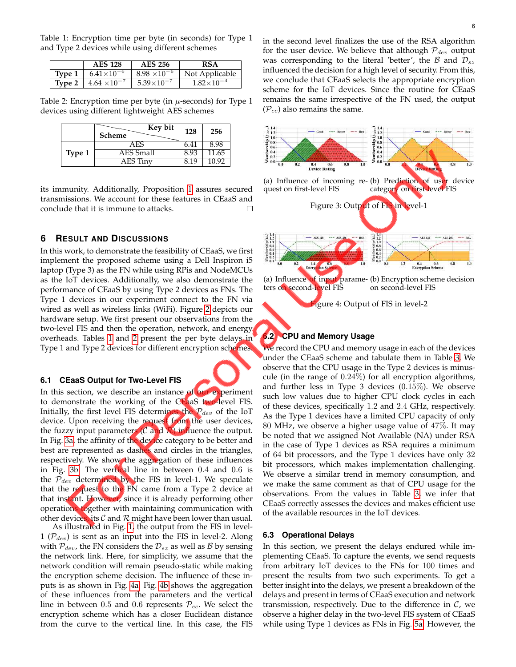<span id="page-5-0"></span>Table 1: Encryption time per byte (in seconds) for Type 1 and Type 2 devices while using different schemes

|               | <b>AES 128</b>                        | <b>AES 256</b>        | <b>RSA</b>          |
|---------------|---------------------------------------|-----------------------|---------------------|
| Type $1 \mid$ | $6.41\times10^{-6}$                   | $8.98 \times 10^{-6}$ | Not Applicable      |
|               | <b>Type 2</b>   $4.64 \times 10^{-7}$ | $5.39 \times 10^{-7}$ | $1.82\times10^{-4}$ |

<span id="page-5-1"></span>Table 2: Encryption time per byte (in  $\mu$ -seconds) for Type 1 devices using different lightweight AES schemes

|        | Key bit<br>Scheme | 128  | 256   |
|--------|-------------------|------|-------|
|        | AES               | 6.41 | 8.98  |
| Type 1 | AES Small         | 8.93 | 11.65 |
|        | AES Tinv          | טוצ  | 10.92 |

its immunity. Additionally, Proposition [1](#page-4-3) assures secured transmissions. We account for these features in CEaaS and conclude that it is immune to attacks.  $\Box$ 

# **6 RESULT AND DISCUSSIONS**

In this work, to demonstrate the feasibility of CEaaS, we first implement the proposed scheme using a Dell Inspiron i5 laptop (Type 3) as the FN while using RPis and NodeMCUs as the IoT devices. Additionally, we also demonstrate the performance of CEaaS by using Type 2 devices as FNs. The Type 1 devices in our experiment connect to the FN via wired as well as wireless links (WiFi). Figure [2](#page-2-0) depicts our hardware setup. We first present our observations from the two-level FIS and then the operation, network, and energy overheads. Tables [1](#page-5-0) and [2](#page-5-1) present the per byte delays in Type 1 and Type 2 devices for different encryption schemes.

## **6.1 CEaaS Output for Two-Level FIS**

In this section, we describe an instance of our experiment to demonstrate the working of the CEaaS two-level FIS. Initially, the first level FIS determines the  $P_{dev}$  of the IoT device. Upon receiving the request from the user devices, the fuzzy input parameters  $(C \text{ and } R)$  influence the output. In Fig. [3a,](#page-5-2) the affinity of the device category to be better and best are represented as dashes and circles in the triangles, respectively. We show the aggregation of these influences in Fig. [3b.](#page-5-2) The vertical line in between 0.4 and 0.6 is the  $P_{dev}$  determined by the FIS in level-1. We speculate that the request to the FN came from a Type 2 device at that instant. However, since it is already performing other operations together with maintaining communication with other devices, its  $\mathcal C$  and  $\mathcal R$  might have been lower than usual.

As illustrated in Fig. [1,](#page-0-0) the output from the FIS in level-1 ( $\mathcal{P}_{dev}$ ) is sent as an input into the FIS in level-2. Along with  $P_{dev}$ , the FN considers the  $D_{sz}$  as well as  $B$  by sensing the network link. Here, for simplicity, we assume that the network condition will remain pseudo-static while making the encryption scheme decision. The influence of these inputs is as shown in Fig. [4a.](#page-5-3) Fig. [4b](#page-5-3) shows the aggregation of these influences from the parameters and the vertical line in between 0.5 and 0.6 represents  $P_{ec}$ . We select the encryption scheme which has a closer Euclidean distance from the curve to the vertical line. In this case, the FIS in the second level finalizes the use of the RSA algorithm for the user device. We believe that although  $P_{dev}$  output was corresponding to the literal 'better', the B and  $\mathcal{D}_{sz}$ influenced the decision for a high level of security. From this, we conclude that CEaaS selects the appropriate encryption scheme for the IoT devices. Since the routine for CEaaS remains the same irrespective of the FN used, the output  $(\mathcal{P}_{ec})$  also remains the same.

<span id="page-5-2"></span>

# <span id="page-5-4"></span><span id="page-5-3"></span>**6.2 CPU and Memory Usage**

We record the CPU and memory usage in each of the devices under the CEaaS scheme and tabulate them in Table [3.](#page-6-0) We observe that the CPU usage in the Type 2 devices is minuscule (in the range of 0.24%) for all encryption algorithms, and further less in Type 3 devices (0.15%). We observe such low values due to higher CPU clock cycles in each of these devices, specifically 1.2 and 2.4 GHz, respectively. As the Type 1 devices have a limited CPU capacity of only 80 MHz, we observe a higher usage value of 47%. It may be noted that we assigned Not Available (NA) under RSA in the case of Type 1 devices as RSA requires a minimum of 64 bit processors, and the Type 1 devices have only 32 bit processors, which makes implementation challenging. We observe a similar trend in memory consumption, and we make the same comment as that of CPU usage for the observations. From the values in Table [3,](#page-6-0) we infer that CEaaS correctly assesses the devices and makes efficient use of the available resources in the IoT devices.

#### **6.3 Operational Delays**

In this section, we present the delays endured while implementing CEaaS. To capture the events, we send requests from arbitrary IoT devices to the FNs for 100 times and present the results from two such experiments. To get a better insight into the delays, we present a breakdown of the delays and present in terms of CEaaS execution and network transmission, respectively. Due to the difference in  $C$ , we observe a higher delay in the two-level FIS system of CEaaS while using Type 1 devices as FNs in Fig. [5a.](#page-6-1) However, the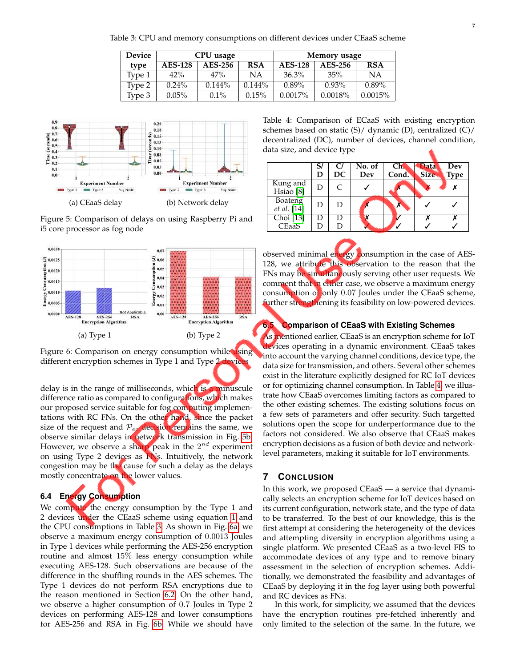<span id="page-6-0"></span>Table 3: CPU and memory consumptions on different devices under CEaaS scheme

| <b>Device</b> | CPU usage      |           |            | Memory usage   |          |            |
|---------------|----------------|-----------|------------|----------------|----------|------------|
| type          | <b>AES-128</b> | AES-256   | <b>RSA</b> | <b>AES-128</b> | AES-256  | <b>RSA</b> |
| Type 1        | 42%            | 47%       | ΝA         | $36.3\%$       | 35%      | ΝA         |
| Type 2        | $0.24\%$       | $0.144\%$ | $0.144\%$  | $0.89\%$       | $0.93\%$ | $0.89\%$   |
| Type 3        | $0.05\%$       | $0.1\%$   | 0.15%      | $0.0017\%$     | 0.0018%  | 0.0015%    |

<span id="page-6-1"></span>

Figure 5: Comparison of delays on using Raspberry Pi and i5 core processor as fog node

<span id="page-6-2"></span>



delay is in the range of milliseconds, which is a minuscule difference ratio as compared to configurations, which makes our proposed service suitable for fog computing implementations with RC FNs. On the other hand, since the packet size of the request and  $P_{ec}$  decision remains the same, we observe similar delays in network transmission in Fig. [5b.](#page-6-1) However, we observe a sharp peak in the  $2^{nd}$  experiment on using Type 2 devices as FNs. Intuitively, the network congestion may be the cause for such a delay as the delays mostly concentrate on the lower values.

# **6.4 Energy Consumption**

We compute the energy consumption by the Type 1 and 2 devices under the CEaaS scheme using equation [1](#page-3-2) and the CPU consumptions in Table [3.](#page-6-0) As shown in Fig. [6a,](#page-6-2) we observe a maximum energy consumption of 0.0013 Joules in Type 1 devices while performing the AES-256 encryption routine and almost 15% less energy consumption while executing AES-128. Such observations are because of the difference in the shuffling rounds in the AES schemes. The Type 1 devices do not perform RSA encryptions due to the reason mentioned in Section [6.2.](#page-5-4) On the other hand, we observe a higher consumption of 0.7 Joules in Type 2 devices on performing AES-128 and lower consumptions for AES-256 and RSA in Fig. [6b.](#page-6-2) While we should have

<span id="page-6-3"></span>Table 4: Comparison of ECaaS with existing encryption schemes based on static (S)/ dynamic (D), centralized (C)/ decentralized (DC), number of devices, channel condition, data size, and device type

|                                  | S/<br>D | C/<br>DC  | No. of<br>Dev | Ch <sub>2</sub><br>Cond. | <b>Aatav</b><br><b>Size</b> | Dev<br><b>Type</b> |
|----------------------------------|---------|-----------|---------------|--------------------------|-----------------------------|--------------------|
| Kung and<br>Hsiao <sup>[8]</sup> | D       | $\subset$ |               |                          |                             | x                  |
| Boateng<br>et al. [14]           | D       | D         |               |                          |                             |                    |
| Choi [13]                        |         |           |               |                          |                             |                    |
| CEaaS                            |         |           |               |                          |                             |                    |

observed minimal energy consumption in the case of AES-128, we attribute this observation to the reason that the FNs may be simultaneously serving other user requests. We comment that in either case, we observe a maximum energy consumption of only 0.07 Joules under the CEaaS scheme, further strengthening its feasibility on low-powered devices.

## **6.5 Comparison of CEaaS with Existing Schemes**

As mentioned earlier, CEaaS is an encryption scheme for IoT devices operating in a dynamic environment. CEaaS takes into account the varying channel conditions, device type, the data size for transmission, and others. Several other schemes exist in the literature explicitly designed for RC IoT devices or for optimizing channel consumption. In Table [4,](#page-6-3) we illustrate how CEaaS overcomes limiting factors as compared to the other existing schemes. The existing solutions focus on a few sets of parameters and offer security. Such targetted solutions open the scope for underperformance due to the factors not considered. We also observe that CEaaS makes encryption decisions as a fusion of both device and networklevel parameters, making it suitable for IoT environments.

## **7 CONCLUSION**

In this work, we proposed CEaaS — a service that dynamically selects an encryption scheme for IoT devices based on its current configuration, network state, and the type of data to be transferred. To the best of our knowledge, this is the first attempt at considering the heterogeneity of the devices and attempting diversity in encryption algorithms using a single platform. We presented CEaaS as a two-level FIS to accommodate devices of any type and to remove binary assessment in the selection of encryption schemes. Additionally, we demonstrated the feasibility and advantages of CEaaS by deploying it in the fog layer using both powerful and RC devices as FNs.

In this work, for simplicity, we assumed that the devices have the encryption routines pre-fetched inherently and only limited to the selection of the same. In the future, we